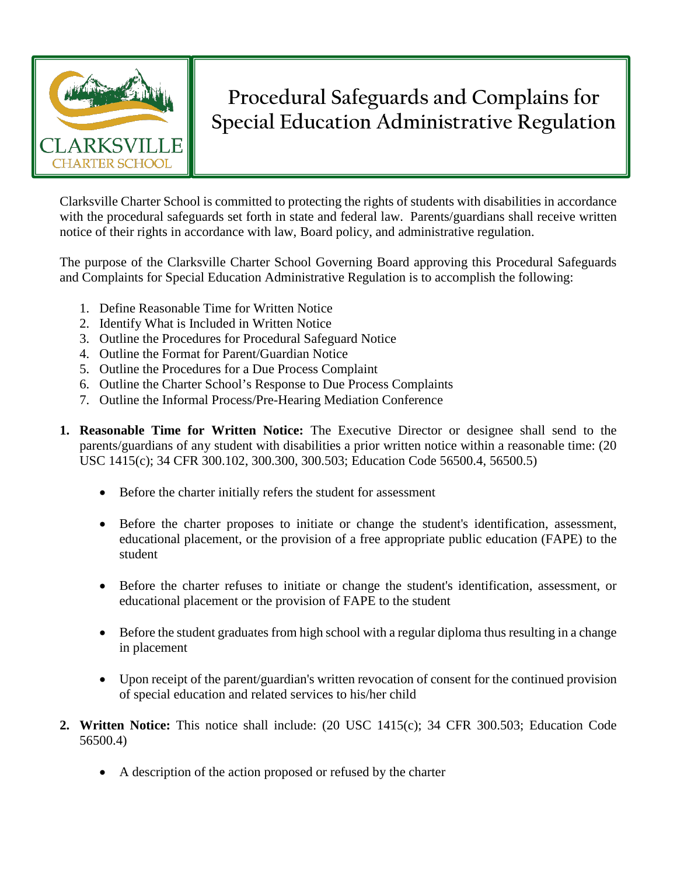

## **Procedural Safeguards and Complains for Special Education Administrative Regulation**

Clarksville Charter School is committed to protecting the rights of students with disabilities in accordance with the procedural safeguards set forth in state and federal law. Parents/guardians shall receive written notice of their rights in accordance with law, Board policy, and administrative regulation.

The purpose of the Clarksville Charter School Governing Board approving this Procedural Safeguards and Complaints for Special Education Administrative Regulation is to accomplish the following:

- 1. Define Reasonable Time for Written Notice
- 2. Identify What is Included in Written Notice
- 3. Outline the Procedures for Procedural Safeguard Notice
- 4. Outline the Format for Parent/Guardian Notice
- 5. Outline the Procedures for a Due Process Complaint
- 6. Outline the Charter School's Response to Due Process Complaints
- 7. Outline the Informal Process/Pre-Hearing Mediation Conference
- **1. Reasonable Time for Written Notice:** The Executive Director or designee shall send to the parents/guardians of any student with disabilities a prior written notice within a reasonable time: (20 USC 1415(c); 34 CFR 300.102, 300.300, 300.503; Education Code 56500.4, 56500.5)
	- Before the charter initially refers the student for assessment
	- Before the charter proposes to initiate or change the student's identification, assessment, educational placement, or the provision of a free appropriate public education (FAPE) to the student
	- Before the charter refuses to initiate or change the student's identification, assessment, or educational placement or the provision of FAPE to the student
	- Before the student graduates from high school with a regular diploma thus resulting in a change in placement
	- Upon receipt of the parent/guardian's written revocation of consent for the continued provision of special education and related services to his/her child
- **2. Written Notice:** This notice shall include: (20 USC 1415(c); 34 CFR 300.503; Education Code 56500.4)
	- A description of the action proposed or refused by the charter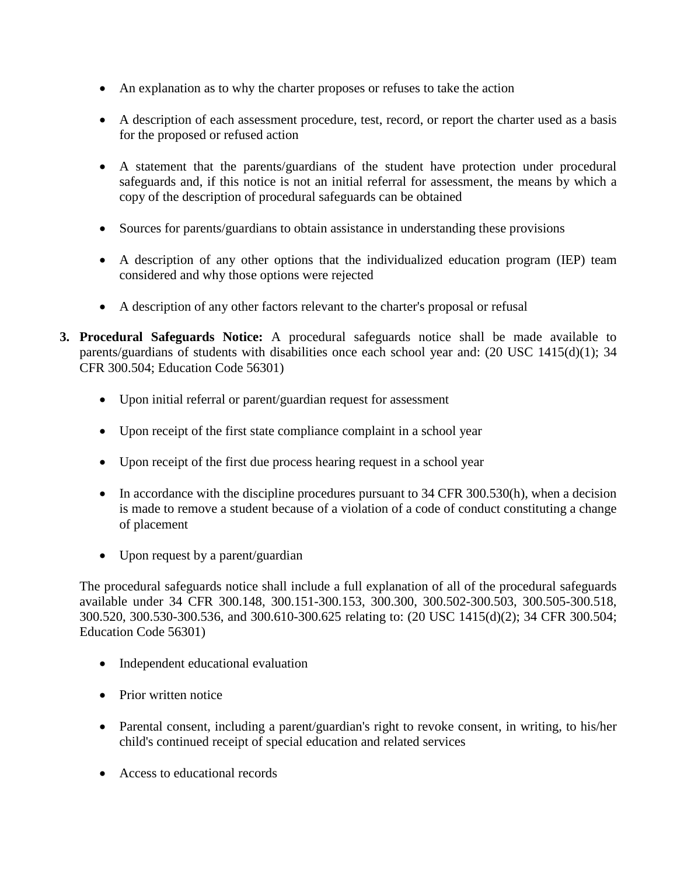- An explanation as to why the charter proposes or refuses to take the action
- A description of each assessment procedure, test, record, or report the charter used as a basis for the proposed or refused action
- A statement that the parents/guardians of the student have protection under procedural safeguards and, if this notice is not an initial referral for assessment, the means by which a copy of the description of procedural safeguards can be obtained
- Sources for parents/guardians to obtain assistance in understanding these provisions
- A description of any other options that the individualized education program (IEP) team considered and why those options were rejected
- A description of any other factors relevant to the charter's proposal or refusal
- **3. Procedural Safeguards Notice:** A procedural safeguards notice shall be made available to parents/guardians of students with disabilities once each school year and: (20 USC 1415(d)(1); 34 CFR 300.504; Education Code 56301)
	- Upon initial referral or parent/guardian request for assessment
	- Upon receipt of the first state compliance complaint in a school year
	- Upon receipt of the first due process hearing request in a school year
	- In accordance with the discipline procedures pursuant to 34 CFR 300.530(h), when a decision is made to remove a student because of a violation of a code of conduct constituting a change of placement
	- Upon request by a parent/guardian

The procedural safeguards notice shall include a full explanation of all of the procedural safeguards available under 34 CFR 300.148, 300.151-300.153, 300.300, 300.502-300.503, 300.505-300.518, 300.520, 300.530-300.536, and 300.610-300.625 relating to: (20 USC 1415(d)(2); 34 CFR 300.504; Education Code 56301)

- Independent educational evaluation
- Prior written notice
- Parental consent, including a parent/guardian's right to revoke consent, in writing, to his/her child's continued receipt of special education and related services
- Access to educational records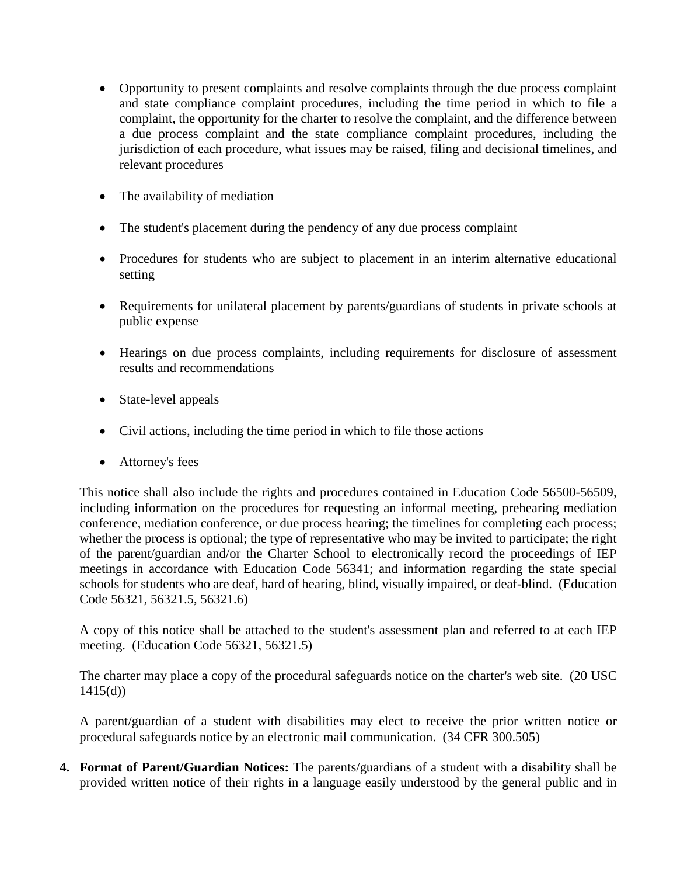- Opportunity to present complaints and resolve complaints through the due process complaint and state compliance complaint procedures, including the time period in which to file a complaint, the opportunity for the charter to resolve the complaint, and the difference between a due process complaint and the state compliance complaint procedures, including the jurisdiction of each procedure, what issues may be raised, filing and decisional timelines, and relevant procedures
- The availability of mediation
- The student's placement during the pendency of any due process complaint
- Procedures for students who are subject to placement in an interim alternative educational setting
- Requirements for unilateral placement by parents/guardians of students in private schools at public expense
- Hearings on due process complaints, including requirements for disclosure of assessment results and recommendations
- State-level appeals
- Civil actions, including the time period in which to file those actions
- Attorney's fees

This notice shall also include the rights and procedures contained in Education Code 56500-56509, including information on the procedures for requesting an informal meeting, prehearing mediation conference, mediation conference, or due process hearing; the timelines for completing each process; whether the process is optional; the type of representative who may be invited to participate; the right of the parent/guardian and/or the Charter School to electronically record the proceedings of IEP meetings in accordance with Education Code 56341; and information regarding the state special schools for students who are deaf, hard of hearing, blind, visually impaired, or deaf-blind. (Education Code 56321, 56321.5, 56321.6)

A copy of this notice shall be attached to the student's assessment plan and referred to at each IEP meeting. (Education Code 56321, 56321.5)

The charter may place a copy of the procedural safeguards notice on the charter's web site. (20 USC  $1415(d)$ 

A parent/guardian of a student with disabilities may elect to receive the prior written notice or procedural safeguards notice by an electronic mail communication. (34 CFR 300.505)

**4. Format of Parent/Guardian Notices:** The parents/guardians of a student with a disability shall be provided written notice of their rights in a language easily understood by the general public and in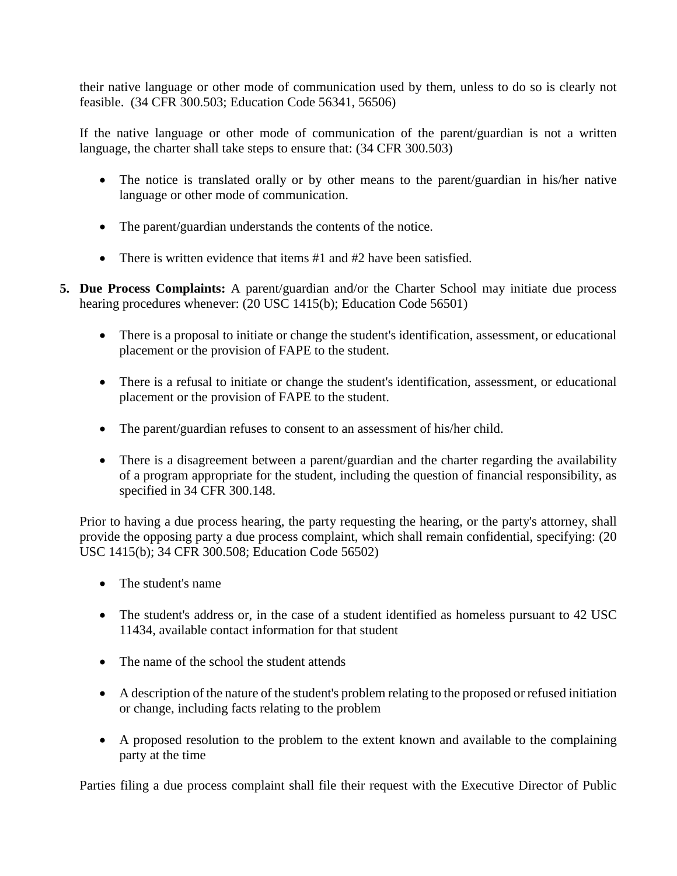their native language or other mode of communication used by them, unless to do so is clearly not feasible. (34 CFR 300.503; Education Code 56341, 56506)

If the native language or other mode of communication of the parent/guardian is not a written language, the charter shall take steps to ensure that: (34 CFR 300.503)

- The notice is translated orally or by other means to the parent/guardian in his/her native language or other mode of communication.
- The parent/guardian understands the contents of the notice.
- There is written evidence that items #1 and #2 have been satisfied.
- **5. Due Process Complaints:** A parent/guardian and/or the Charter School may initiate due process hearing procedures whenever: (20 USC 1415(b); Education Code 56501)
	- There is a proposal to initiate or change the student's identification, assessment, or educational placement or the provision of FAPE to the student.
	- There is a refusal to initiate or change the student's identification, assessment, or educational placement or the provision of FAPE to the student.
	- The parent/guardian refuses to consent to an assessment of his/her child.
	- There is a disagreement between a parent/guardian and the charter regarding the availability of a program appropriate for the student, including the question of financial responsibility, as specified in 34 CFR 300.148.

Prior to having a due process hearing, the party requesting the hearing, or the party's attorney, shall provide the opposing party a due process complaint, which shall remain confidential, specifying: (20 USC 1415(b); 34 CFR 300.508; Education Code 56502)

- The student's name
- The student's address or, in the case of a student identified as homeless pursuant to 42 USC 11434, available contact information for that student
- The name of the school the student attends
- A description of the nature of the student's problem relating to the proposed or refused initiation or change, including facts relating to the problem
- A proposed resolution to the problem to the extent known and available to the complaining party at the time

Parties filing a due process complaint shall file their request with the Executive Director of Public